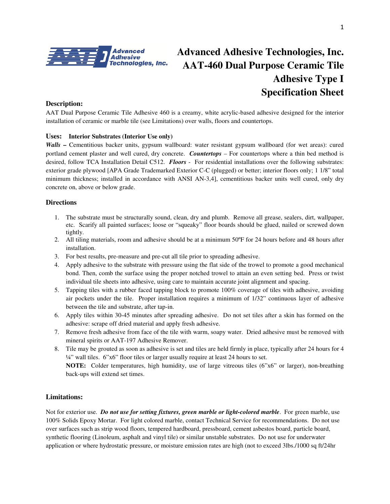

# **Advanced Adhesive Technologies, Inc. AAT-460 Dual Purpose Ceramic Tile Adhesive Type I Specification Sheet**

### **Description:**

AAT Dual Purpose Ceramic Tile Adhesive 460 is a creamy, white acrylic-based adhesive designed for the interior installation of ceramic or marble tile (see Limitations) over walls, floors and countertops.

#### **Uses: Interior Substrates (Interior Use only)**

*Walls* – Cementitious backer units, gypsum wallboard: water resistant gypsum wallboard (for wet areas): cured portland cement plaster and well cured, dry concrete. *Countertops –* For countertops where a thin bed method is desired, follow TCA Installation Detail C512. *Floors* - For residential installations over the following substrates: exterior grade plywood [APA Grade Trademarked Exterior C-C (plugged) or better; interior floors only; 1 1/8" total minimum thickness; installed in accordance with ANSI AN-3,4], cementitious backer units well cured, only dry concrete on, above or below grade.

#### **Directions**

- 1. The substrate must be structurally sound, clean, dry and plumb. Remove all grease, sealers, dirt, wallpaper, etc. Scarify all painted surfaces; loose or "squeaky" floor boards should be glued, nailed or screwed down tightly.
- 2. All tiling materials, room and adhesive should be at a minimum 50ºF for 24 hours before and 48 hours after installation.
- 3. For best results, pre-measure and pre-cut all tile prior to spreading adhesive.
- 4. Apply adhesive to the substrate with pressure using the flat side of the trowel to promote a good mechanical bond. Then, comb the surface using the proper notched trowel to attain an even setting bed. Press or twist individual tile sheets into adhesive, using care to maintain accurate joint alignment and spacing.
- 5. Tapping tiles with a rubber faced tapping block to promote 100% coverage of tiles with adhesive, avoiding air pockets under the tile. Proper installation requires a minimum of 1/32" continuous layer of adhesive between the tile and substrate, after tap-in.
- 6. Apply tiles within 30-45 minutes after spreading adhesive. Do not set tiles after a skin has formed on the adhesive: scrape off dried material and apply fresh adhesive.
- 7. Remove fresh adhesive from face of the tile with warm, soapy water. Dried adhesive must be removed with mineral spirits or AAT-197 Adhesive Remover.
- 8. Tile may be grouted as soon as adhesive is set and tiles are held firmly in place, typically after 24 hours for 4 ¼" wall tiles. 6"x6" floor tiles or larger usually require at least 24 hours to set. **NOTE:** Colder temperatures, high humidity, use of large vitreous tiles (6"x6" or larger), non-breathing back-ups will extend set times.

### **Limitations:**

Not for exterior use. *Do not use for setting fixtures, green marble or light-colored marble*. For green marble, use 100% Solids Epoxy Mortar. For light colored marble, contact Technical Service for recommendations. Do not use over surfaces such as strip wood floors, tempered hardboard, pressboard, cement asbestos board, particle board, synthetic flooring (Linoleum, asphalt and vinyl tile) or similar unstable substrates. Do not use for underwater application or where hydrostatic pressure, or moisture emission rates are high (not to exceed 3lbs./1000 sq ft/24hr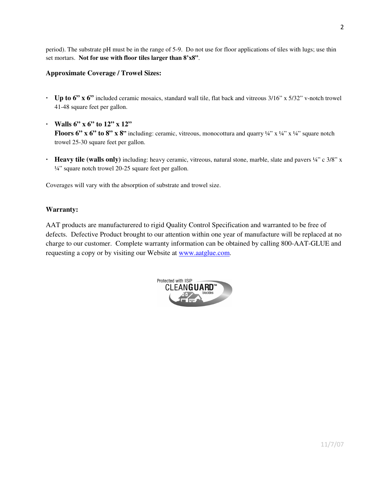period). The substrate pH must be in the range of 5-9. Do not use for floor applications of tiles with lugs; use thin set mortars. **Not for use with floor tiles larger than 8'x8"**.

### **Approximate Coverage / Trowel Sizes:**

- **· Up to 6" x 6"** included ceramic mosaics, standard wall tile, flat back and vitreous 3/16" x 5/32" v-notch trowel 41-48 square feet per gallon.
- **· Walls 6" x 6" to 12" x 12" Floors 6" x 6" to 8" x 8"** including: ceramic, vitreous, monocottura and quarry  $\frac{1}{4}$ " x  $\frac{1}{4}$ " x  $\frac{1}{4}$ " square notch trowel 25-30 square feet per gallon.
- **· Heavy tile (walls only)** including: heavy ceramic, vitreous, natural stone, marble, slate and pavers ¼" c 3/8" x ¼" square notch trowel 20-25 square feet per gallon.

Coverages will vary with the absorption of substrate and trowel size.

### **Warranty:**

AAT products are manufacturered to rigid Quality Control Specification and warranted to be free of defects. Defective Product brought to our attention within one year of manufacture will be replaced at no charge to our customer. Complete warranty information can be obtained by calling 800-AAT-GLUE and requesting a copy or by visiting our Website at www.aatglue.com.

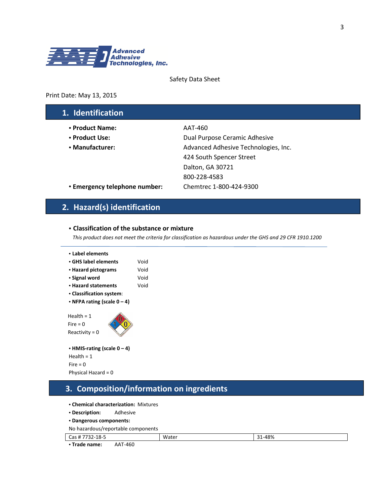

#### Safety Data Sheet

#### Print Date: May 13, 2015

## 1. Identification

- **•** Product Name: AAT-460
- 
- 

• Product Use: Dual Purpose Ceramic Adhesive • Manufacturer:  $\blacksquare$  Advanced Adhesive Technologies, Inc. 424 South Spencer Street Dalton, GA 30721 800-228-4583

• Emergency telephone number: Chemtrec 1-800-424-9300

# 2. Hazard(s) identification

#### **•** Classification of the substance or mixture

This product does not meet the criteria for classification as hazardous under the GHS and 29 CFR 1910.1200

| • Label elements<br>$\cdot$ GHS label elements<br>• Hazard pictograms<br>• Signal word<br>• Hazard statements<br>• Classification system: | Void<br>Void<br>Void<br>Void |
|-------------------------------------------------------------------------------------------------------------------------------------------|------------------------------|
| • NFPA rating (scale $0 - 4$ )<br>Health $= 1$<br>Fire = $0$<br>Reactivity = $0$                                                          |                              |

```
• HMIS-rating (scale 0 – 4) 
Health = 1 
Fire = 0Physical Hazard = 0
```
### 3. Composition/information on ingredients

- **•** Chemical characterization: Mixtures
- **•** Description: Adhesive
- **•** Dangerous components:
- No hazardous/reportable components

| Cas # 7732<br>'732-18-5 |         | Water | 1-48%<br>$\mathbf{a}$ |
|-------------------------|---------|-------|-----------------------|
| • Trade name:           | AAT-460 |       |                       |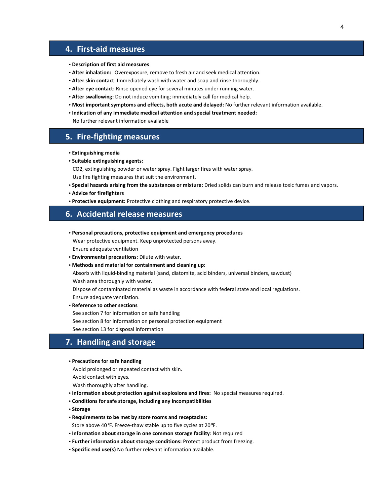### 4. First-aid measures

- **•** Description of first aid measures
- **•** After inhalation: Overexposure, remove to fresh air and seek medical attention.
- **•** After skin contact: Immediately wash with water and soap and rinse thoroughly.
- **•** After eye contact: Rinse opened eye for several minutes under running water.
- **•** After swallowing: Do not induce vomiting; immediately call for medical help.
- **•** Most important symptoms and effects, both acute and delayed: No further relevant information available.
- **•** Indication of any immediate medical attention and special treatment needed:

No further relevant information available

### 5. Fire-fighting measures

- **•** Extinguishing media
- **•** Suitable extinguishing agents:

CO2, extinguishing powder or water spray. Fight larger fires with water spray.

Use fire fighting measures that suit the environment.

- **•** Special hazards arising from the substances or mixture: Dried solids can burn and release toxic fumes and vapors.
- **•** Advice for firefighters
- **•** Protective equipment: Protective clothing and respiratory protective device.

### 6. Accidental release measures

**•** Personal precautions, protective equipment and emergency procedures

 Wear protective equipment. Keep unprotected persons away. Ensure adequate ventilation

- **•** Environmental precautions: Dilute with water.
- **•** Methods and material for containment and cleaning up:

 Absorb with liquid-binding material (sand, diatomite, acid binders, universal binders, sawdust) Wash area thoroughly with water.

 Dispose of contaminated material as waste in accordance with federal state and local regulations. Ensure adequate ventilation.

**•** Reference to other sections

See section 7 for information on safe handling

See section 8 for information on personal protection equipment

See section 13 for disposal information

### 7. Handling and storage

#### **•** Precautions for safe handling

Avoid prolonged or repeated contact with skin.

Avoid contact with eyes.

Wash thoroughly after handling.

- **•** Information about protection against explosions and fires: No special measures required.
- **•** Conditions for safe storage, including any incompatibilities
- **•** Storage
- **•** Requirements to be met by store rooms and receptacles:

Store above 40°F. Freeze-thaw stable up to five cycles at 20°F.

- **•** Information about storage in one common storage facility: Not required
- **•** Further information about storage conditions: Protect product from freezing.
- **•** Specific end use(s) No further relevant information available.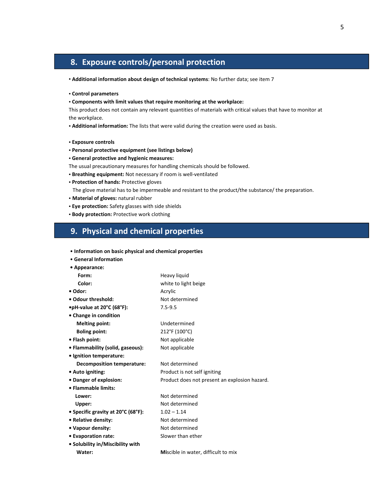# 8. Exposure controls/personal protection

- Additional information about design of technical systems: No further data; see item 7
- **•** Control parameters
- **•** Components with limit values that require monitoring at the workplace:

This product does not contain any relevant quantities of materials with critical values that have to monitor at the workplace.

**•** Additional information: The lists that were valid during the creation were used as basis.

- **•** Exposure controls
- **•** Personal protective equipment (see listings below)
- **•** General protective and hygienic measures:
- The usual precautionary measures for handling chemicals should be followed.
- **•** Breathing equipment: Not necessary if room is well-ventilated
- **•** Protection of hands: Protective gloves

The glove material has to be impermeable and resistant to the product/the substance/ the preparation.

- Material of gloves: natural rubber
- **•** Eye protection: Safety glasses with side shields
- **•** Body protection: Protective work clothing

### 9. Physical and chemical properties

| • Information on basic physical and chemical properties |                                               |
|---------------------------------------------------------|-----------------------------------------------|
| • General Information                                   |                                               |
| • Appearance:                                           |                                               |
| Form:                                                   | Heavy liquid                                  |
| Color:                                                  | white to light beige                          |
| • Odor:                                                 | Acrylic                                       |
| • Odour threshold:                                      | Not determined                                |
| •pH-value at 20°C (68°F):                               | $7.5 - 9.5$                                   |
| • Change in condition                                   |                                               |
| <b>Melting point:</b>                                   | Undetermined                                  |
| <b>Boling point:</b>                                    | 212°F (100°C)                                 |
| • Flash point:                                          | Not applicable                                |
| • Flammability (solid, gaseous):                        | Not applicable                                |
| · Ignition temperature:                                 |                                               |
| <b>Decomposition temperature:</b>                       | Not determined                                |
| • Auto igniting:                                        | Product is not self igniting                  |
| • Danger of explosion:                                  | Product does not present an explosion hazard. |
| • Flammable limits:                                     |                                               |
| Lower:                                                  | Not determined                                |
| Upper:                                                  | Not determined                                |
| • Specific gravity at 20°C (68°F):                      | $1.02 - 1.14$                                 |
| • Relative density:                                     | Not determined                                |
| • Vapour density:                                       | Not determined                                |
| • Evaporation rate:                                     | Slower than ether                             |
| • Solubility in/Miscibility with                        |                                               |
| Water:                                                  | Miscible in water, difficult to mix           |
|                                                         |                                               |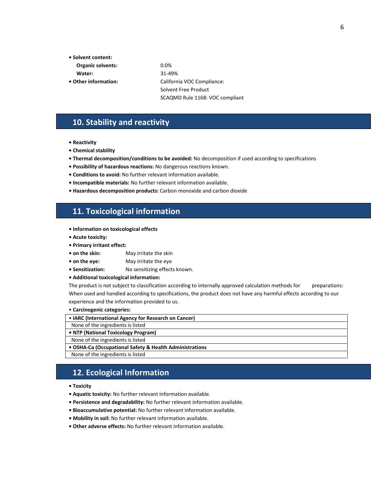- Solvent content:
- Organic solvents: 0.0%
- Water: 31-49%
- 

• Other information: California VOC Compliance: Solvent Free Product SCAQMD Rule 1168: VOC compliant

### 10. Stability and reactivity

- Reactivity
- Chemical stability
- Thermal decomposition/conditions to be avoided: No decomposition if used according to specifications
- Possibility of hazardous reactions: No dangerous reactions known.
- Conditions to avoid: No further relevant information available.
- Incompatible materials: No further relevant information available.
- Hazardous decomposition products: Carbon monoxide and carbon dioxide

# 11. Toxicological information

- Information on toxicological effects
- Acute toxicity:
- Primary irritant effect:
- on the skin: May irritate the skin
- on the eye: May irritate the eye
- Sensitization: No sensitizing effects known.
- Additional toxicological information:

The product is not subject to classification according to internally approved calculation methods for preparations: When used and handled according to specifications, the product does not have any harmful effects according to our experience and the information provided to us.

#### • Carcinogenic categories:

| - Carchiogeriic categories.                             |
|---------------------------------------------------------|
| • IARC (International Agency for Research on Cancer)    |
| None of the ingredients is listed                       |
| • NTP (National Toxicology Program)                     |
| None of the ingredients is listed                       |
| • OSHA-Ca (Occupational Safety & Health Administrations |

None of the ingredients is listed

### 12. Ecological Information

• Toxicity

L

- Aquatic toxicity: No further relevant information available.
- Persistence and degradability: No further relevant information available.
- Bioaccumulative potential: No further relevant information available.
- Mobility in soil: No further relevant information available.
- Other adverse effects: No further relevant information available.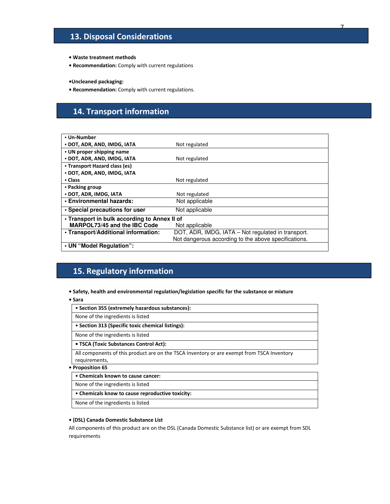# 13. Disposal Considerations

- Waste treatment methods
- Recommendation: Comply with current regulations

•Uncleaned packaging:

• Recommendation: Comply with current regulations.

# 14. Transport information

| • Un-Number                                  |                                                      |
|----------------------------------------------|------------------------------------------------------|
| • DOT, ADR, AND, IMDG, IATA                  | Not regulated                                        |
| • UN proper shipping name                    |                                                      |
| • DOT, ADR, AND, IMDG, IATA                  | Not regulated                                        |
| • Transport Hazard class (es)                |                                                      |
| • DOT, ADR, AND, IMDG, IATA                  |                                                      |
| • Class                                      | Not regulated                                        |
| • Packing group                              |                                                      |
| • DOT, ADR, IMDG, IATA                       | Not regulated                                        |
| • Environmental hazards:                     | Not applicable                                       |
| • Special precautions for user               | Not applicable                                       |
| • Transport in bulk according to Annex II of |                                                      |
| MARPOL73/45 and the IBC Code                 | Not applicable                                       |
| . Transport/Additional information:          | DOT, ADR, IMDG, IATA – Not regulated in transport.   |
|                                              | Not dangerous according to the above specifications. |
| • UN "Model Regulation":                     |                                                      |

# 15. Regulatory information

- Safety, health and environmental regulation/legislation specific for the substance or mixture
- Sara

| • Section 355 (extremely hazardous substances):                                            |
|--------------------------------------------------------------------------------------------|
| None of the ingredients is listed                                                          |
| • Section 313 (Specific toxic chemical listings):                                          |
| None of the ingredients is listed                                                          |
| • TSCA (Toxic Substances Control Act):                                                     |
| All components of this product are on the TSCA Inventory or are exempt from TSCA Inventory |
| requirements,                                                                              |
| • Proposition 65                                                                           |

• Chemicals known to cause cancer:

None of the ingredients is listed

• Chemicals know to cause reproductive toxicity:

None of the ingredients is listed

#### • (DSL) Canada Domestic Substance List

All components of this product are on the DSL (Canada Domestic Substance list) or are exempt from SDL requirements